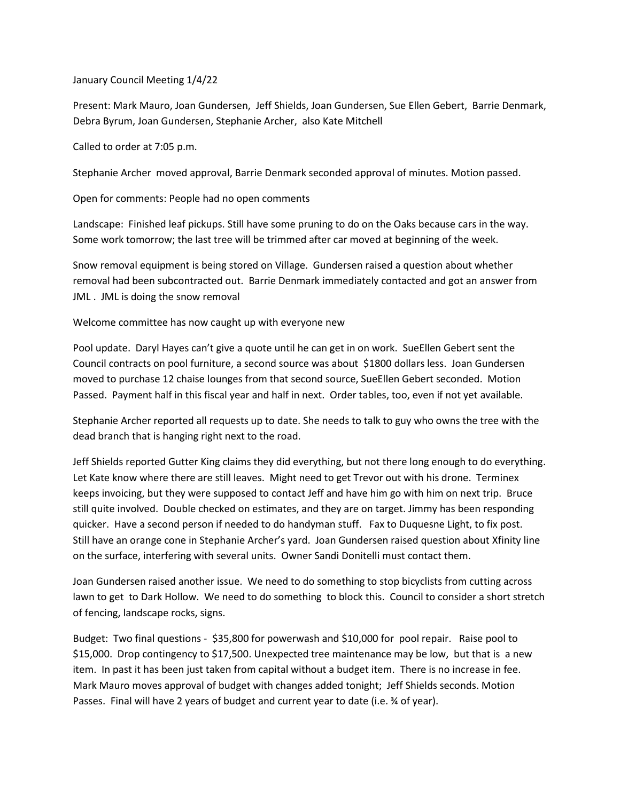January Council Meeting 1/4/22

Present: Mark Mauro, Joan Gundersen, Jeff Shields, Joan Gundersen, Sue Ellen Gebert, Barrie Denmark, Debra Byrum, Joan Gundersen, Stephanie Archer, also Kate Mitchell

Called to order at 7:05 p.m.

Stephanie Archer moved approval, Barrie Denmark seconded approval of minutes. Motion passed.

Open for comments: People had no open comments

Landscape: Finished leaf pickups. Still have some pruning to do on the Oaks because cars in the way. Some work tomorrow; the last tree will be trimmed after car moved at beginning of the week.

Snow removal equipment is being stored on Village. Gundersen raised a question about whether removal had been subcontracted out. Barrie Denmark immediately contacted and got an answer from JML . JML is doing the snow removal

Welcome committee has now caught up with everyone new

Pool update. Daryl Hayes can't give a quote until he can get in on work. SueEllen Gebert sent the Council contracts on pool furniture, a second source was about \$1800 dollars less. Joan Gundersen moved to purchase 12 chaise lounges from that second source, SueEllen Gebert seconded. Motion Passed. Payment half in this fiscal year and half in next. Order tables, too, even if not yet available.

Stephanie Archer reported all requests up to date. She needs to talk to guy who owns the tree with the dead branch that is hanging right next to the road.

Jeff Shields reported Gutter King claims they did everything, but not there long enough to do everything. Let Kate know where there are still leaves. Might need to get Trevor out with his drone. Terminex keeps invoicing, but they were supposed to contact Jeff and have him go with him on next trip. Bruce still quite involved. Double checked on estimates, and they are on target. Jimmy has been responding quicker. Have a second person if needed to do handyman stuff. Fax to Duquesne Light, to fix post. Still have an orange cone in Stephanie Archer's yard. Joan Gundersen raised question about Xfinity line on the surface, interfering with several units. Owner Sandi Donitelli must contact them.

Joan Gundersen raised another issue. We need to do something to stop bicyclists from cutting across lawn to get to Dark Hollow. We need to do something to block this. Council to consider a short stretch of fencing, landscape rocks, signs.

Budget: Two final questions - \$35,800 for powerwash and \$10,000 for pool repair. Raise pool to \$15,000. Drop contingency to \$17,500. Unexpected tree maintenance may be low, but that is a new item. In past it has been just taken from capital without a budget item. There is no increase in fee. Mark Mauro moves approval of budget with changes added tonight; Jeff Shields seconds. Motion Passes. Final will have 2 years of budget and current year to date (i.e. 34 of year).